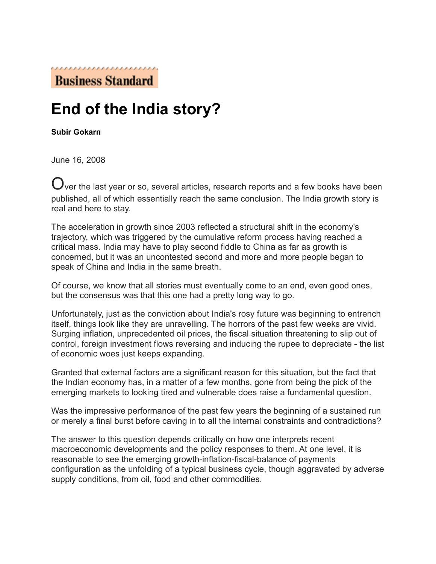**Business Standard** 

## **End of the India story?**

**Subir Gokarn** 

June 16, 2008

 $\mathbf C$ ver the last year or so, several articles, research reports and a few books have been published, all of which essentially reach the same conclusion. The India growth story is real and here to stay.

The acceleration in growth since 2003 reflected a structural shift in the economy's trajectory, which was triggered by the cumulative reform process having reached a critical mass. India may have to play second fiddle to China as far as growth is concerned, but it was an uncontested second and more and more people began to speak of China and India in the same breath.

Of course, we know that all stories must eventually come to an end, even good ones, but the consensus was that this one had a pretty long way to go.

Unfortunately, just as the conviction about India's rosy future was beginning to entrench itself, things look like they are unravelling. The horrors of the past few weeks are vivid. Surging inflation, unprecedented oil prices, the fiscal situation threatening to slip out of control, foreign investment flows reversing and inducing the rupee to depreciate - the list of economic woes just keeps expanding.

Granted that external factors are a significant reason for this situation, but the fact that the Indian economy has, in a matter of a few months, gone from being the pick of the emerging markets to looking tired and vulnerable does raise a fundamental question.

Was the impressive performance of the past few years the beginning of a sustained run or merely a final burst before caving in to all the internal constraints and contradictions?

The answer to this question depends critically on how one interprets recent macroeconomic developments and the policy responses to them. At one level, it is reasonable to see the emerging growth-inflation-fiscal-balance of payments configuration as the unfolding of a typical business cycle, though aggravated by adverse supply conditions, from oil, food and other commodities.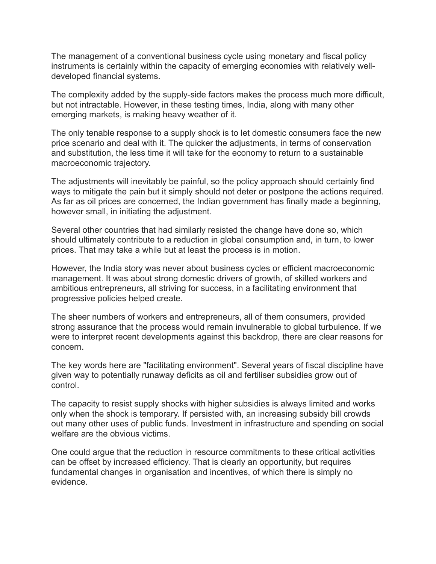The management of a conventional business cycle using monetary and fiscal policy instruments is certainly within the capacity of emerging economies with relatively welldeveloped financial systems.

The complexity added by the supply-side factors makes the process much more difficult, but not intractable. However, in these testing times, India, along with many other emerging markets, is making heavy weather of it.

The only tenable response to a supply shock is to let domestic consumers face the new price scenario and deal with it. The quicker the adjustments, in terms of conservation and substitution, the less time it will take for the economy to return to a sustainable macroeconomic trajectory.

The adjustments will inevitably be painful, so the policy approach should certainly find ways to mitigate the pain but it simply should not deter or postpone the actions required. As far as oil prices are concerned, the Indian government has finally made a beginning, however small, in initiating the adjustment.

Several other countries that had similarly resisted the change have done so, which should ultimately contribute to a reduction in global consumption and, in turn, to lower prices. That may take a while but at least the process is in motion.

However, the India story was never about business cycles or efficient macroeconomic management. It was about strong domestic drivers of growth, of skilled workers and ambitious entrepreneurs, all striving for success, in a facilitating environment that progressive policies helped create.

The sheer numbers of workers and entrepreneurs, all of them consumers, provided strong assurance that the process would remain invulnerable to global turbulence. If we were to interpret recent developments against this backdrop, there are clear reasons for concern.

The key words here are "facilitating environment". Several years of fiscal discipline have given way to potentially runaway deficits as oil and fertiliser subsidies grow out of control.

The capacity to resist supply shocks with higher subsidies is always limited and works only when the shock is temporary. If persisted with, an increasing subsidy bill crowds out many other uses of public funds. Investment in infrastructure and spending on social welfare are the obvious victims.

One could argue that the reduction in resource commitments to these critical activities can be offset by increased efficiency. That is clearly an opportunity, but requires fundamental changes in organisation and incentives, of which there is simply no evidence.